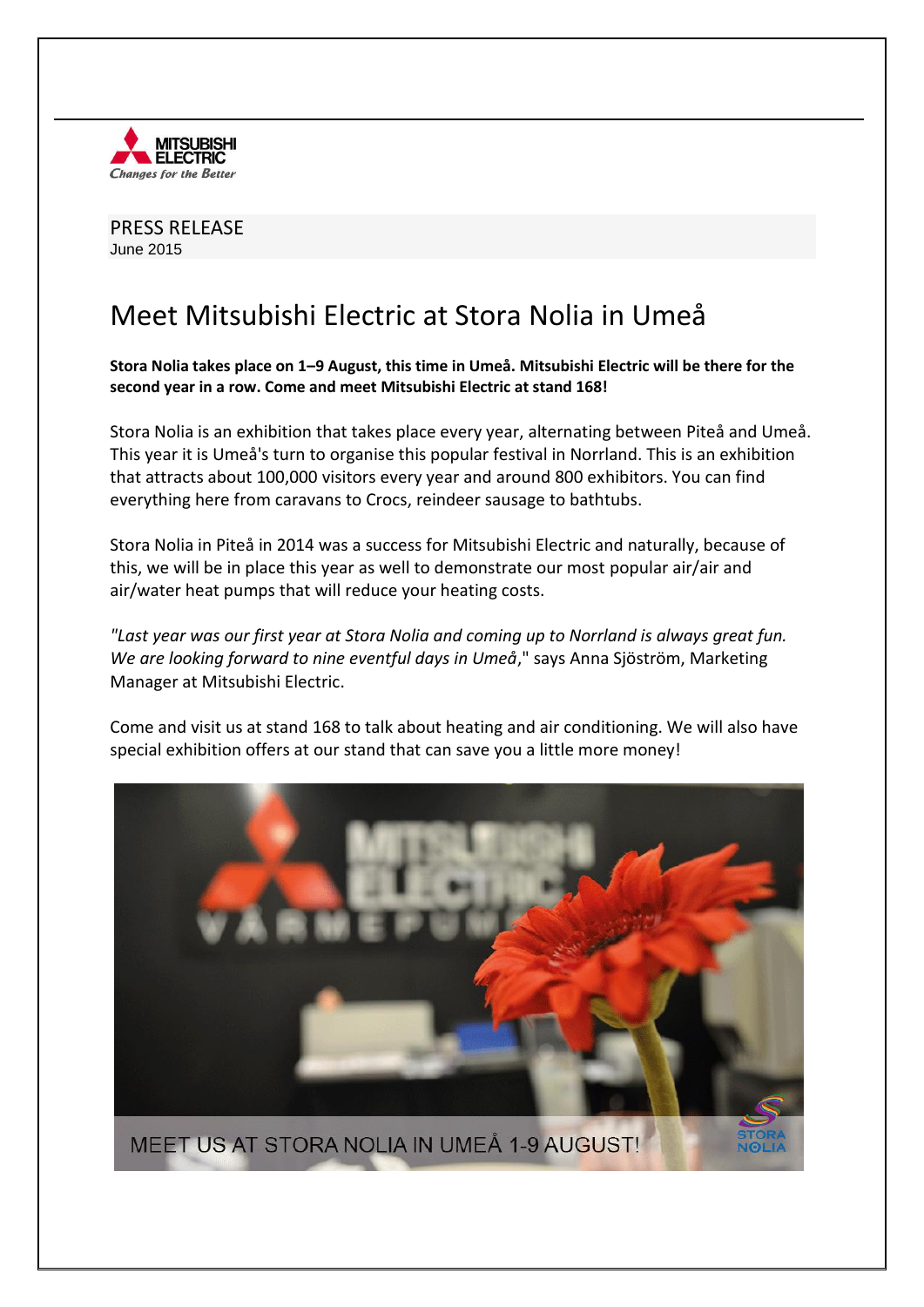

PRESS RELEASE June 2015

## Meet Mitsubishi Electric at Stora Nolia in Umeå

**Stora Nolia takes place on 1–9 August, this time in Umeå. Mitsubishi Electric will be there for the second year in a row. Come and meet Mitsubishi Electric at stand 168!**

Stora Nolia is an exhibition that takes place every year, alternating between Piteå and Umeå. This year it is Umeå's turn to organise this popular festival in Norrland. This is an exhibition that attracts about 100,000 visitors every year and around 800 exhibitors. You can find everything here from caravans to Crocs, reindeer sausage to bathtubs.

Stora Nolia in Piteå in 2014 was a success for Mitsubishi Electric and naturally, because of this, we will be in place this year as well to demonstrate our most popular air/air and air/water heat pumps that will reduce your heating costs.

*"Last year was our first year at Stora Nolia and coming up to Norrland is always great fun. We are looking forward to nine eventful days in Umeå*," says Anna Sjöström, Marketing Manager at Mitsubishi Electric.

Come and visit us at stand 168 to talk about heating and air conditioning. We will also have special exhibition offers at our stand that can save you a little more money!